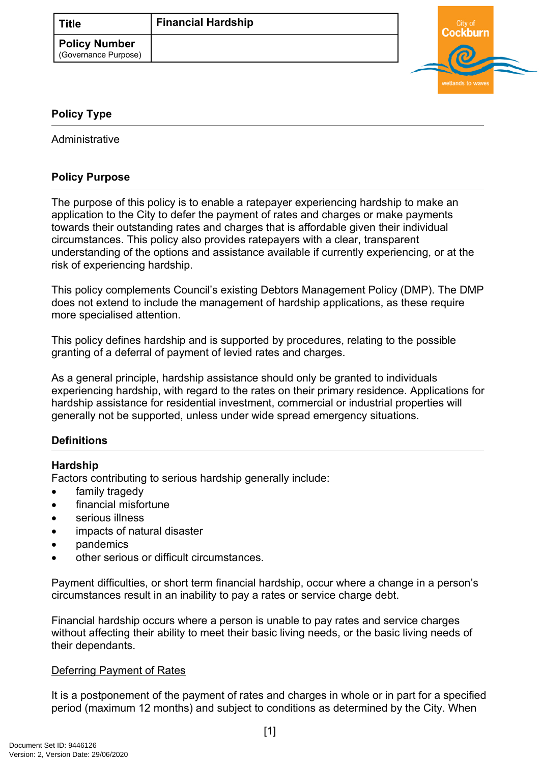

# <span id="page-0-0"></span>**[Policy Type](#page-0-0)**

Administrative

# **Policy Purpose**

The purpose of this policy is to enable a ratepayer experiencing hardship to make an application to the City to defer the payment of rates and charges or make payments towards their outstanding rates and charges that is affordable given their individual circumstances. This policy also provides ratepayers with a clear, transparent understanding of the options and assistance available if currently experiencing, or at the risk of experiencing hardship.

This policy complements Council's existing Debtors Management Policy (DMP). The DMP does not extend to include the management of hardship applications, as these require more specialised attention.

This policy defines hardship and is supported by procedures, relating to the possible granting of a deferral of payment of levied rates and charges.

As a general principle, hardship assistance should only be granted to individuals experiencing hardship, with regard to the rates on their primary residence. Applications for hardship assistance for residential investment, commercial or industrial properties will generally not be supported, unless under wide spread emergency situations.

# **[Definitions](#page-1-0)**

# **Hardship**

Factors contributing to serious hardship generally include:

- family tragedy
- financial misfortune
- serious illness
- impacts of natural disaster
- pandemics
- other serious or difficult circumstances.

Payment difficulties, or short term financial hardship, occur where a change in a person's circumstances result in an inability to pay a rates or service charge debt.

Financial hardship occurs where a person is unable to pay rates and service charges without affecting their ability to meet their basic living needs, or the basic living needs of their dependants.

#### Deferring Payment of Rates

It is a postponement of the payment of rates and charges in whole or in part for a specified period (maximum 12 months) and subject to conditions as determined by the City. When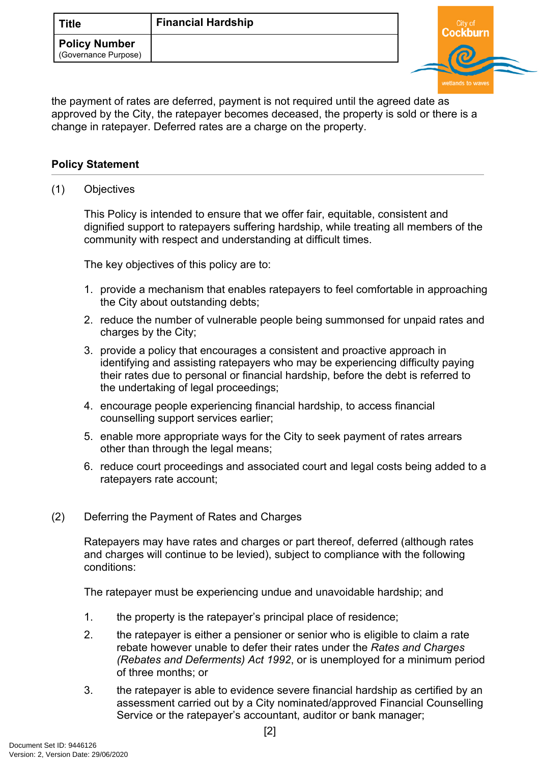

the payment of rates are deferred, payment is not required until the agreed date as approved by the City, the ratepayer becomes deceased, the property is sold or there is a change in ratepayer. Deferred rates are a charge on the property.

### **[Policy Statement](#page-1-0)**

<span id="page-1-0"></span>(1) Objectives

This Policy is intended to ensure that we offer fair, equitable, consistent and dignified support to ratepayers suffering hardship, while treating all members of the community with respect and understanding at difficult times.

The key objectives of this policy are to:

- 1. provide a mechanism that enables ratepayers to feel comfortable in approaching the City about outstanding debts;
- 2. reduce the number of vulnerable people being summonsed for unpaid rates and charges by the City;
- 3. provide a policy that encourages a consistent and proactive approach in identifying and assisting ratepayers who may be experiencing difficulty paying their rates due to personal or financial hardship, before the debt is referred to the undertaking of legal proceedings;
- 4. encourage people experiencing financial hardship, to access financial counselling support services earlier;
- 5. enable more appropriate ways for the City to seek payment of rates arrears other than through the legal means;
- 6. reduce court proceedings and associated court and legal costs being added to a ratepayers rate account;
- (2) Deferring the Payment of Rates and Charges

Ratepayers may have rates and charges or part thereof, deferred (although rates and charges will continue to be levied), subject to compliance with the following conditions:

The ratepayer must be experiencing undue and unavoidable hardship; and

- 1. the property is the ratepayer's principal place of residence;
- 2. the ratepayer is either a pensioner or senior who is eligible to claim a rate rebate however unable to defer their rates under the *Rates and Charges (Rebates and Deferments) Act 1992*, or is unemployed for a minimum period of three months; or
- 3. the ratepayer is able to evidence severe financial hardship as certified by an assessment carried out by a City nominated/approved Financial Counselling Service or the ratepayer's accountant, auditor or bank manager;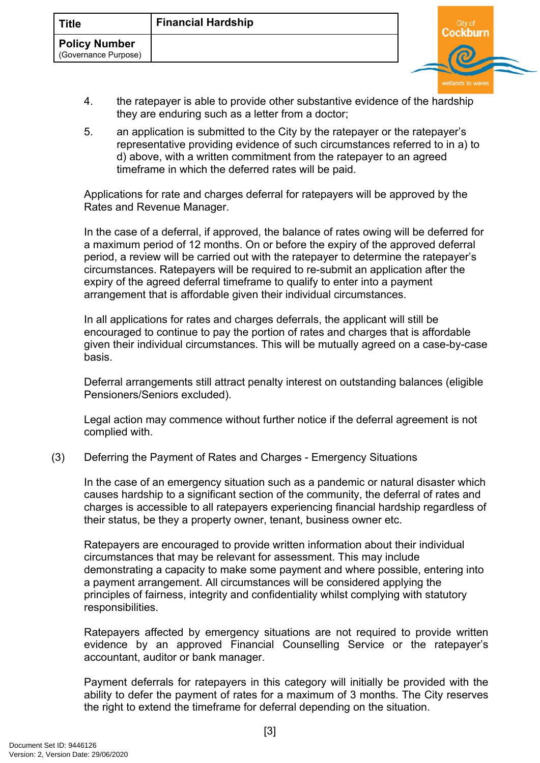

- 4. the ratepayer is able to provide other substantive evidence of the hardship they are enduring such as a letter from a doctor;
- 5. an application is submitted to the City by the ratepayer or the ratepayer's representative providing evidence of such circumstances referred to in a) to d) above, with a written commitment from the ratepayer to an agreed timeframe in which the deferred rates will be paid.

Applications for rate and charges deferral for ratepayers will be approved by the Rates and Revenue Manager.

In the case of a deferral, if approved, the balance of rates owing will be deferred for a maximum period of 12 months. On or before the expiry of the approved deferral period, a review will be carried out with the ratepayer to determine the ratepayer's circumstances. Ratepayers will be required to re-submit an application after the expiry of the agreed deferral timeframe to qualify to enter into a payment arrangement that is affordable given their individual circumstances.

In all applications for rates and charges deferrals, the applicant will still be encouraged to continue to pay the portion of rates and charges that is affordable given their individual circumstances. This will be mutually agreed on a case-by-case basis.

Deferral arrangements still attract penalty interest on outstanding balances (eligible Pensioners/Seniors excluded).

Legal action may commence without further notice if the deferral agreement is not complied with.

# (3) Deferring the Payment of Rates and Charges - Emergency Situations

In the case of an emergency situation such as a pandemic or natural disaster which causes hardship to a significant section of the community, the deferral of rates and charges is accessible to all ratepayers experiencing financial hardship regardless of their status, be they a property owner, tenant, business owner etc.

Ratepayers are encouraged to provide written information about their individual circumstances that may be relevant for assessment. This may include demonstrating a capacity to make some payment and where possible, entering into a payment arrangement. All circumstances will be considered applying the principles of fairness, integrity and confidentiality whilst complying with statutory responsibilities.

Ratepayers affected by emergency situations are not required to provide written evidence by an approved Financial Counselling Service or the ratepayer's accountant, auditor or bank manager.

Payment deferrals for ratepayers in this category will initially be provided with the ability to defer the payment of rates for a maximum of 3 months. The City reserves the right to extend the timeframe for deferral depending on the situation.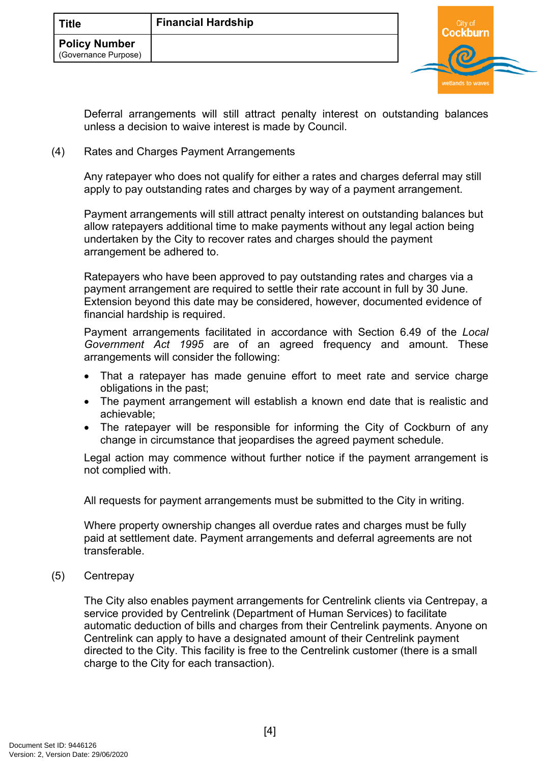

Deferral arrangements will still attract penalty interest on outstanding balances unless a decision to waive interest is made by Council.

#### (4) Rates and Charges Payment Arrangements

Any ratepayer who does not qualify for either a rates and charges deferral may still apply to pay outstanding rates and charges by way of a payment arrangement.

Payment arrangements will still attract penalty interest on outstanding balances but allow ratepayers additional time to make payments without any legal action being undertaken by the City to recover rates and charges should the payment arrangement be adhered to.

Ratepayers who have been approved to pay outstanding rates and charges via a payment arrangement are required to settle their rate account in full by 30 June. Extension beyond this date may be considered, however, documented evidence of financial hardship is required.

Payment arrangements facilitated in accordance with Section 6.49 of the *Local Government Act 1995* are of an agreed frequency and amount. These arrangements will consider the following:

- That a ratepayer has made genuine effort to meet rate and service charge obligations in the past;
- The payment arrangement will establish a known end date that is realistic and achievable;
- The ratepayer will be responsible for informing the City of Cockburn of any change in circumstance that jeopardises the agreed payment schedule.

Legal action may commence without further notice if the payment arrangement is not complied with.

All requests for payment arrangements must be submitted to the City in writing.

Where property ownership changes all overdue rates and charges must be fully paid at settlement date. Payment arrangements and deferral agreements are not transferable.

(5) Centrepay

The City also enables payment arrangements for Centrelink clients via Centrepay, a service provided by Centrelink (Department of Human Services) to facilitate automatic deduction of bills and charges from their Centrelink payments. Anyone on Centrelink can apply to have a designated amount of their Centrelink payment directed to the City. This facility is free to the Centrelink customer (there is a small charge to the City for each transaction).